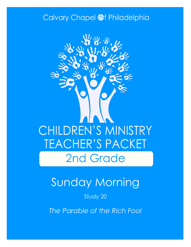### Calvary Chapel @f Philadelphia



# Sunday Morning

#### Study 20

*The Parable of the Rich Fool*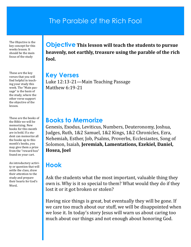### The Parable of the Rich Fool

The Objective is the key concept for this weeks lesson. It should be the main focus of the study

These are the key verses that you will find helpful in teaching your study this week. The "Main passage" is the basis of the study, where the other verse support the objective of the lesson.

These are the books of the Bible we will be memorizing. New books for this month are in bold. If a student can memorize all the books up to this month's books, you may give them a prize from the "reward box" found on your cart.

An introductory activity or question that will settle the class, draw their attention to the study and prepare their hearts for God's Word.

**Objective This lesson will teach the students to pursue heavenly, not earthly, treasure using the parable of the rich fool.**

**Key Verses** Luke 12:13-21—Main Teaching Passage Matthew 6:19-21

#### **Books to Memorize**

Genesis, Exodus, Leviticus, Numbers, Deuteronomy, Joshua, Judges, Ruth, 1&2 Samuel, 1&2 Kings, 1&2 Chronicles, Ezra, Nehemiah, Esther, Job, Psalms, Proverbs, Ecclesiastes, Song of Solomon, Isaiah, **Jeremiah, Lamentations, Ezekiel, Daniel, Hosea, Joel**

### **Hook**

Ask the students what the most important, valuable thing they own is. Why is it so special to them? What would they do if they lost it or it got broken or stolen?

Having nice things is great, but eventually they will be gone. If we care too much about our stuff, we will be disappointed when we lose it. In today's story Jesus will warn us about caring too much about our things and not enough about honoring God.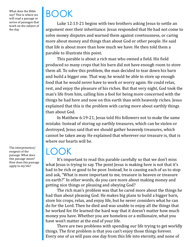What does the Bible say? This is where we will read a passage or series of passages that teach on the subject of the day.

The interpretation/ exegesis of the passage. What does this passage mean? How does this passage apply to my life?

# BOOK

Luke 12:13-21 begins with two brothers asking Jesus to settle an argument over their inheritance. Jesus responded that He had not come to solve money disputes and warned them against covetousness, or caring more about money and things than about God or other people. He said that life is about more than how much we have. He then told them a parable to illustrate this point.

This parable is about a rich man who owned a field. His field produced so many crops that his barn did not have enough room to store them all. To solve this problem, the man decided to tear down his barn and build a bigger one. That way, he would be able to store up enough food that he would never have to work or worry again. He could relax, rest, and enjoy the pleasure of his riches. But that very night, God took the man's life from him, calling him a fool for being more concerned with the things he had here and now on this earth than with heavenly riches. Jesus explained that this is the problem with caring more about earthly things than about God.

In Matthew 6:19-21, Jesus told His followers not to make the same mistake. Instead of storing up earthly treasures, which can be stolen or destroyed, Jesus said that we should gather heavenly treasures, which cannot be taken away. He explained that wherever our treasure is, that is where our hearts will be.

## LOOK

It's important to read this parable carefully so that we don't miss what Jesus is trying to say. The point Jesus is making here is not that it's bad to be rich or good to be poor. Instead, he is causing each of us to stop and ask, "What is more important to me, treasure in heaven or treasure on earth?" In other words, do you care more about making money and getting nice things or pleasing and obeying God?

The rich man's problem was that he cared more about the things he had than about pleasing God. He makes big plans to build a bigger barn, store his crops, relax, and enjoy life, but he never considers what he can do for the Lord. Then he died and was unable to enjoy all the things that he worked for. He learned the hard way that it doesn't matter how much money you have. Whether you are homeless or a millionaire, what you have won't matter at the end of your life.

There are two problems with spending our life trying to get worldly things. The first problem is that you can't enjoy those things forever. Every one of us will pass one day from this life into eternity, and none of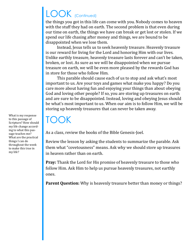# LOOK (Continued)

the things you got in this life can come with you. Nobody comes to heaven with the stuff they had on earth. The second problem is that even during our time on earth, the things we have can break or get lost or stolen. If we spend our life chasing after money and things, we are bound to be disappointed when we lose them.

Instead, Jesus tells us to seek heavenly treasure. Heavenly treasure is our reward for living for the Lord and honoring Him with our lives. Unlike earthly treasure, heavenly treasure lasts forever and can't be taken, broken, or lost. As sure as we will be disappointed when we pursue treasure on earth, we will be even more pleased by the rewards God has in store for those who follow Him.

This parable should cause each of us to stop and ask what's most important to us. Are your toys and games what make you happy? Do you care more about having fun and enjoying your things than about obeying God and loving other people? If so, you are storing up treasures on earth and are sure to be disappointed. Instead, loving and obeying Jesus should be what's most important to us. When our aim is to follow Him, we will be storing up heavenly treasures that can never be taken away.

## TOOK

As a class, review the books of the Bible Genesis-Joel.

Review the lesson by asking the students to summarize the parable. Ask them what "covetousness" means. Ask why we should store up treasures in heaven rather than on earth.

**Pray:** Thank the Lord for His promise of heavenly treasure to those who follow Him. Ask Him to help us pursue heavenly treasures, not earthly ones.

**Parent Question:** Why is heavenly treasure better than money or things?

What is my response to this passage of Scripture? How should my life change according to what this passage teaches me? What are the practical things I can do throughout the week to make this true in my life?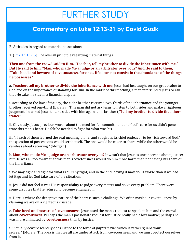# FURTHER STUDY

### **Commentary on Luke 12:13-21 by David Guzik**

B. Attitudes in regard to material possessions.

1. [\(Luk 12:13](https://www.blueletterbible.org/kjv/luke/12/13-15/s_985013)-15) The overall principle regarding material things.

**Then one from the crowd said to Him, "Teacher, tell my brother to divide the inheritance with me." But He said to him, "Man, who made Me a judge or an arbitrator over you?" And He said to them, "Take heed and beware of covetousness, for one's life does not consist in the abundance of the things he possesses."**

a. **Teacher, tell my brother to divide the inheritance with me**: Jesus had just taught on our great value to God and on the importance of standing for Him. In the midst of this teaching, a man interrupted Jesus to ask that He take his side in a financial dispute.

i. According to the law of the day, the elder brother received two-thirds of the inheritance and the younger brother received one-third (Barclay). This man did not ask Jesus to listen to both sides and make a righteous judgment; he asked Jesus to take sides with him against his brother ("**Tell my brother to divide the inheritance**").

ii. Obviously, Jesus' previous words about the need for full commitment and God's care for us didn't penetrate this man's heart. He felt he needed to fight for what was his.

iii. "If each of them learned the real meaning of life, and sought as its chief endeavor to be 'rich toward God,' the question of possessions would settle itself. The one would be eager to share, while the other would be careless about receiving." (Morgan)

b. **Man, who made Me a judge or an arbitrator over you?** It wasn't that Jesus is unconcerned about justice; but He was all too aware that this man's covetousness would do him more harm than not having his share of the inheritance.

i. We may fight and fight for what is ours by right; and in the end, having it may do us worse than if we had let it go and let God take care of the situation.

ii. Jesus did not feel it was His responsibility to judge every matter and solve every problem. There were some disputes that He refused to become entangled in.

ii. Here is where the deceptive nature of the heart is such a challenge. We often mask our covetousness by claiming we are on a righteous crusade.

c. **Take heed and beware of covetousness**: Jesus used the man's request to speak to him and the crowd about **covetousness**. Perhaps the man's passionate request for justice really had a low motive; perhaps he was more animated by **covetousness** than by justice.

i. "Actually *beware* scarcely does justice to the force of *phylassesthe*, which is rather 'guard yourselves.'" (Morris) The idea is that we all are under attack from covetousness, and we must protect ourselves from it.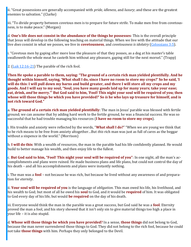ii. "Great possessions are generally accompanied with *pride, idleness*, and *luxury*; and these are the greatest enemies to salvation." (Clarke)

iii. "To divide property between covetous men is to prepare for future strife. To make men free from covetousness, is to make peace." (Morgan)

d. **One's life does not consist in the abundance of the things he possesses**: This is the overall principle that Jesus will develop in the following teaching on material things. When we live with the attitude that our live *does* consist in what we posses, we live in **covetousness**, and *covetousness is idolatry* ([Colossians 3:5\).](https://www.blueletterbible.org/kjv/colossians/3/5/s_1110005)

i. "Covetous men by gaping after more lose the pleasure of that they posses, as a dog at his master's table swalloweth the whole meat he casteth him without any pleasure, gaping still for the next morsel." (Trapp)

2. ([Luk 12:16](https://www.blueletterbible.org/kjv/luke/12/16-21/s_985016)-21) The parable of the rich fool.

**Then He spoke a parable to them, saying: "The ground of a certain rich man yielded plentifully. And he thought within himself, saying, 'What shall I do, since I have no room to store my crops?' So he said, 'I will do this: I will pull down my barns and build greater, and there I will store all my crops and my goods. And I will say to my soul, "Soul, you have many goods laid up for many years; take your ease; eat, drink,** *and* **be merry."' But God said to him, 'Fool! This night your soul will be required of you; then whose will those things be which you have provided?' So** *is* **he who lays up treasure for himself, and is not rich toward God."**

a. **The ground of a certain rich man yielded plentifully**: The man in Jesus' parable was blessed with fertile ground; we can assume that by adding hard work to the fertile ground, he was a financial success. He was so successful that he had trouble managing his resources (**I have no room to store my crops**).

i. His trouble and anxiety were reflected by the words, "**What shall I do?**" "When we are young we think that to be rich means to be free from anxiety altogether…But *this* rich man was just as full of cares as the beggar without a sixpence in the world." (Morrison)

b. **I will do this**: With a wealth of resources, the man in the parable had his life confidently planned. He would build to better manage his wealth, and then enjoy life to the fullest.

c. **But God said to him, "Fool! This night your soul will be required of you"**: In one night, all the man's accomplishments and plans were ruined. He made business plans and life plans, but could not control the day of his death – and all his accomplishments and plans were instantly nothing.

i. The man was a **fool** – not because he was rich, but because he lived without any awareness of and preparation for *eternity*.

ii. **Your soul will be required of you** is the language of *obligation*. This man owed his life, his livelihood, and his wealth to God; but most of all he owed his **soul** to God, and it would be **required** of him. It was obligated to God every day of his life, but would **be required** on the day of his death.

iii. Everyone would think the man in the parable was a great success, but God said he was a **fool**. Eternity proved the man a fool, and his story showed that it isn't only sin to give material things too high a place in your life – it is also stupid.

d. **Whose will those things be which you have provided?** In a sense, **those things** did not belong to God, because the man never surrendered those things to God. They did not belong to the rich fool, because he could not take **those things** with him. Perhaps they only belonged to the Devil.